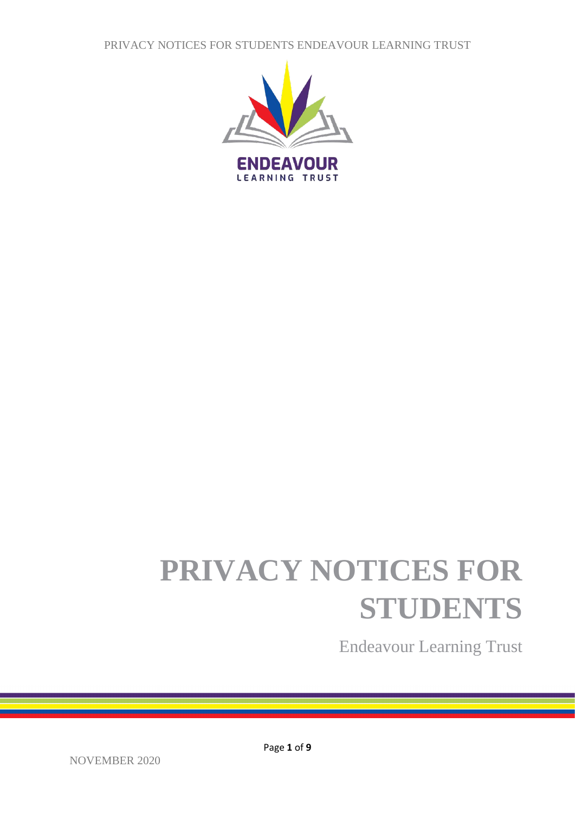PRIVACY NOTICES FOR STUDENTS ENDEAVOUR LEARNING TRUST



# **PRIVACY NOTICES FOR STUDENTS**

Endeavour Learning Trust

Page **1** of **9**

NOVEMBER 2020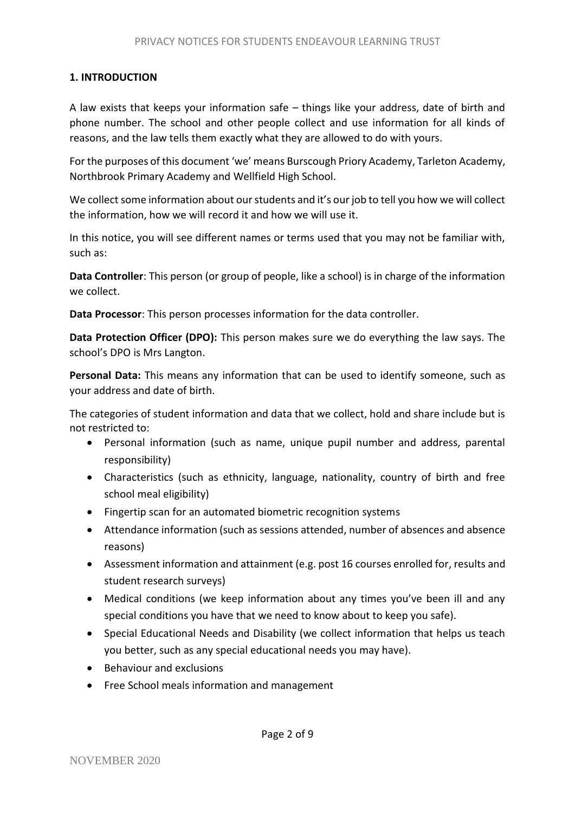## **1. INTRODUCTION**

A law exists that keeps your information safe – things like your address, date of birth and phone number. The school and other people collect and use information for all kinds of reasons, and the law tells them exactly what they are allowed to do with yours.

For the purposes of this document 'we' means Burscough Priory Academy, Tarleton Academy, Northbrook Primary Academy and Wellfield High School.

We collect some information about our students and it's our job to tell you how we will collect the information, how we will record it and how we will use it.

In this notice, you will see different names or terms used that you may not be familiar with, such as:

**Data Controller**: This person (or group of people, like a school) is in charge of the information we collect.

**Data Processor**: This person processes information for the data controller.

**Data Protection Officer (DPO):** This person makes sure we do everything the law says. The school's DPO is Mrs Langton.

**Personal Data:** This means any information that can be used to identify someone, such as your address and date of birth.

The categories of student information and data that we collect, hold and share include but is not restricted to:

- Personal information (such as name, unique pupil number and address, parental responsibility)
- Characteristics (such as ethnicity, language, nationality, country of birth and free school meal eligibility)
- Fingertip scan for an automated biometric recognition systems
- Attendance information (such as sessions attended, number of absences and absence reasons)
- Assessment information and attainment (e.g. post 16 courses enrolled for, results and student research surveys)
- Medical conditions (we keep information about any times you've been ill and any special conditions you have that we need to know about to keep you safe).
- Special Educational Needs and Disability (we collect information that helps us teach you better, such as any special educational needs you may have).
- Behaviour and exclusions
- Free School meals information and management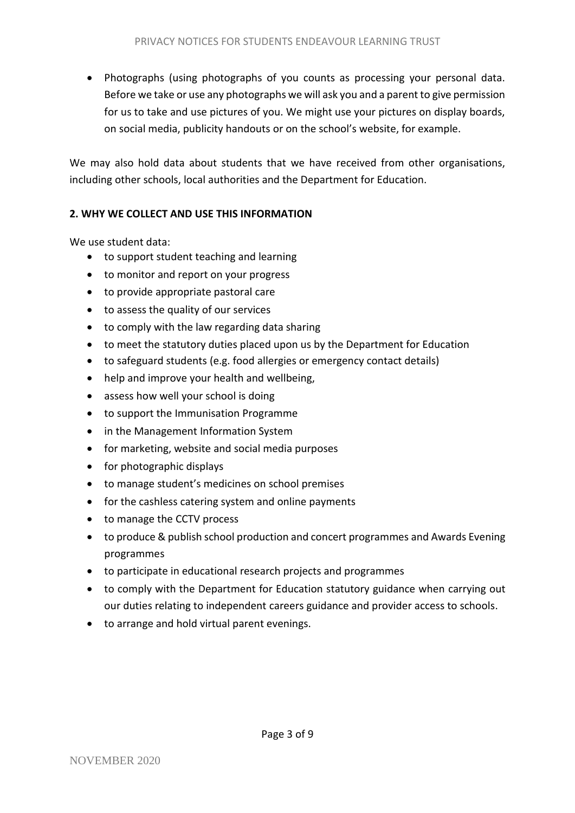Photographs (using photographs of you counts as processing your personal data. Before we take or use any photographs we will ask you and a parent to give permission for us to take and use pictures of you. We might use your pictures on display boards, on social media, publicity handouts or on the school's website, for example.

We may also hold data about students that we have received from other organisations, including other schools, local authorities and the Department for Education.

## **2. WHY WE COLLECT AND USE THIS INFORMATION**

We use student data:

- to support student teaching and learning
- to monitor and report on your progress
- to provide appropriate pastoral care
- to assess the quality of our services
- to comply with the law regarding data sharing
- to meet the statutory duties placed upon us by the Department for Education
- to safeguard students (e.g. food allergies or emergency contact details)
- help and improve your health and wellbeing,
- assess how well your school is doing
- to support the Immunisation Programme
- in the Management Information System
- for marketing, website and social media purposes
- for photographic displays
- to manage student's medicines on school premises
- for the cashless catering system and online payments
- to manage the CCTV process
- to produce & publish school production and concert programmes and Awards Evening programmes
- to participate in educational research projects and programmes
- to comply with the Department for Education statutory guidance when carrying out our duties relating to independent careers guidance and provider access to schools.
- to arrange and hold virtual parent evenings.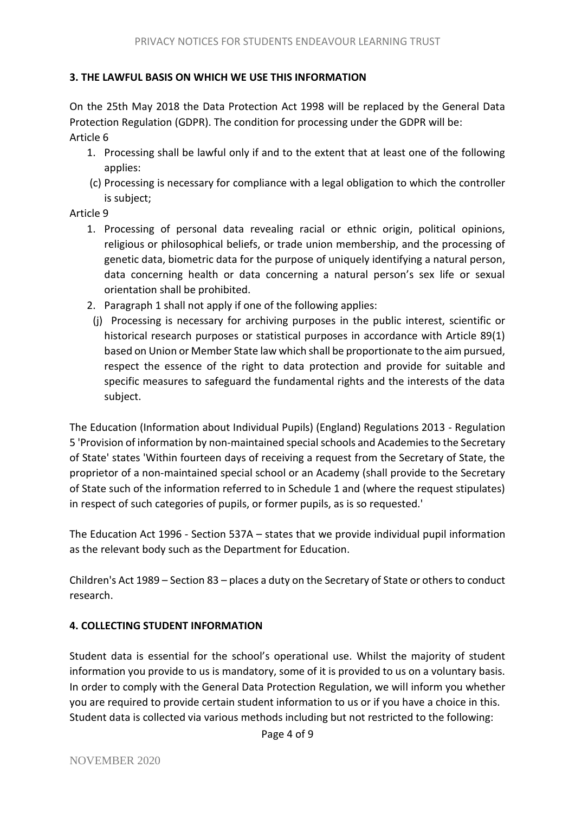## **3. THE LAWFUL BASIS ON WHICH WE USE THIS INFORMATION**

On the 25th May 2018 the Data Protection Act 1998 will be replaced by the General Data Protection Regulation (GDPR). The condition for processing under the GDPR will be: Article 6

- 1. Processing shall be lawful only if and to the extent that at least one of the following applies:
- (c) Processing is necessary for compliance with a legal obligation to which the controller is subject;

Article 9

- 1. Processing of personal data revealing racial or ethnic origin, political opinions, religious or philosophical beliefs, or trade union membership, and the processing of genetic data, biometric data for the purpose of uniquely identifying a natural person, data concerning health or data concerning a natural person's sex life or sexual orientation shall be prohibited.
- 2. Paragraph 1 shall not apply if one of the following applies:
- (j) Processing is necessary for archiving purposes in the public interest, scientific or historical research purposes or statistical purposes in accordance with Article 89(1) based on Union or Member State law which shall be proportionate to the aim pursued, respect the essence of the right to data protection and provide for suitable and specific measures to safeguard the fundamental rights and the interests of the data subject.

The Education (Information about Individual Pupils) (England) Regulations 2013 - Regulation 5 'Provision of information by non-maintained special schools and Academies to the Secretary of State' states 'Within fourteen days of receiving a request from the Secretary of State, the proprietor of a non-maintained special school or an Academy (shall provide to the Secretary of State such of the information referred to in Schedule 1 and (where the request stipulates) in respect of such categories of pupils, or former pupils, as is so requested.'

The Education Act 1996 - Section 537A – states that we provide individual pupil information as the relevant body such as the Department for Education.

Children's Act 1989 – Section 83 – places a duty on the Secretary of State or others to conduct research.

## **4. COLLECTING STUDENT INFORMATION**

Student data is essential for the school's operational use. Whilst the majority of student information you provide to us is mandatory, some of it is provided to us on a voluntary basis. In order to comply with the General Data Protection Regulation, we will inform you whether you are required to provide certain student information to us or if you have a choice in this. Student data is collected via various methods including but not restricted to the following: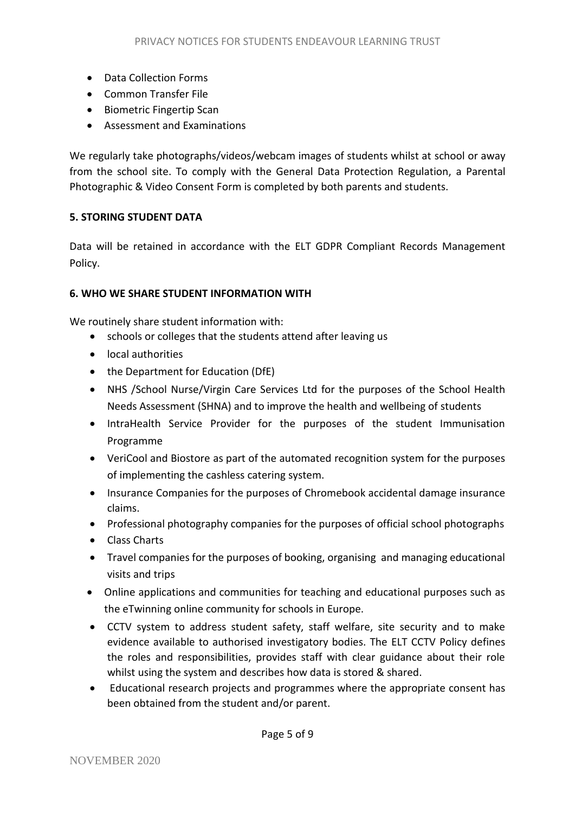- Data Collection Forms
- Common Transfer File
- Biometric Fingertip Scan
- Assessment and Examinations

We regularly take photographs/videos/webcam images of students whilst at school or away from the school site. To comply with the General Data Protection Regulation, a Parental Photographic & Video Consent Form is completed by both parents and students.

## **5. STORING STUDENT DATA**

Data will be retained in accordance with the ELT GDPR Compliant Records Management Policy.

#### **6. WHO WE SHARE STUDENT INFORMATION WITH**

We routinely share student information with:

- schools or colleges that the students attend after leaving us
- local authorities
- the Department for Education (DfE)
- NHS /School Nurse/Virgin Care Services Ltd for the purposes of the School Health Needs Assessment (SHNA) and to improve the health and wellbeing of students
- IntraHealth Service Provider for the purposes of the student Immunisation Programme
- VeriCool and Biostore as part of the automated recognition system for the purposes of implementing the cashless catering system.
- Insurance Companies for the purposes of Chromebook accidental damage insurance claims.
- Professional photography companies for the purposes of official school photographs
- Class Charts
- Travel companies for the purposes of booking, organising and managing educational visits and trips
- Online applications and communities for teaching and educational purposes such as the eTwinning online community for schools in Europe.
- CCTV system to address student safety, staff welfare, site security and to make evidence available to authorised investigatory bodies. The ELT CCTV Policy defines the roles and responsibilities, provides staff with clear guidance about their role whilst using the system and describes how data is stored & shared.
- Educational research projects and programmes where the appropriate consent has been obtained from the student and/or parent.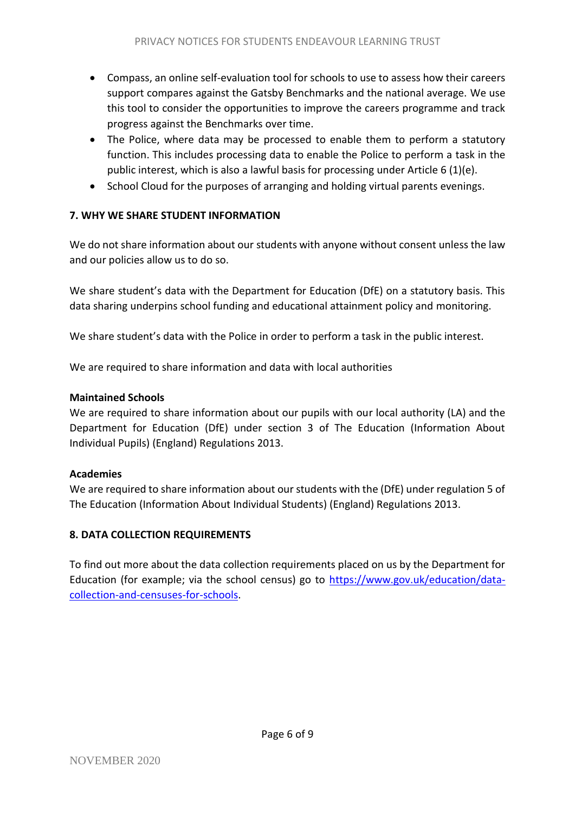- Compass, an online self-evaluation tool for schools to use to assess how their careers support compares against the Gatsby Benchmarks and the national average. We use this tool to consider the opportunities to improve the careers programme and track progress against the Benchmarks over time.
- The Police, where data may be processed to enable them to perform a statutory function. This includes processing data to enable the Police to perform a task in the public interest, which is also a lawful basis for processing under Article 6 (1)(e).
- School Cloud for the purposes of arranging and holding virtual parents evenings.

# **7. WHY WE SHARE STUDENT INFORMATION**

We do not share information about our students with anyone without consent unless the law and our policies allow us to do so.

We share student's data with the Department for Education (DfE) on a statutory basis. This data sharing underpins school funding and educational attainment policy and monitoring.

We share student's data with the Police in order to perform a task in the public interest.

We are required to share information and data with local authorities

# **Maintained Schools**

We are required to share information about our pupils with our local authority (LA) and the Department for Education (DfE) under section 3 of The Education (Information About Individual Pupils) (England) Regulations 2013.

# **Academies**

We are required to share information about our students with the (DfE) under regulation 5 of The Education (Information About Individual Students) (England) Regulations 2013.

# **8. DATA COLLECTION REQUIREMENTS**

To find out more about the data collection requirements placed on us by the Department for Education (for example; via the school census) go to [https://www.gov.uk/education/data](https://www.gov.uk/education/data-collection-and-censuses-for-schools)[collection-and-censuses-for-schools.](https://www.gov.uk/education/data-collection-and-censuses-for-schools)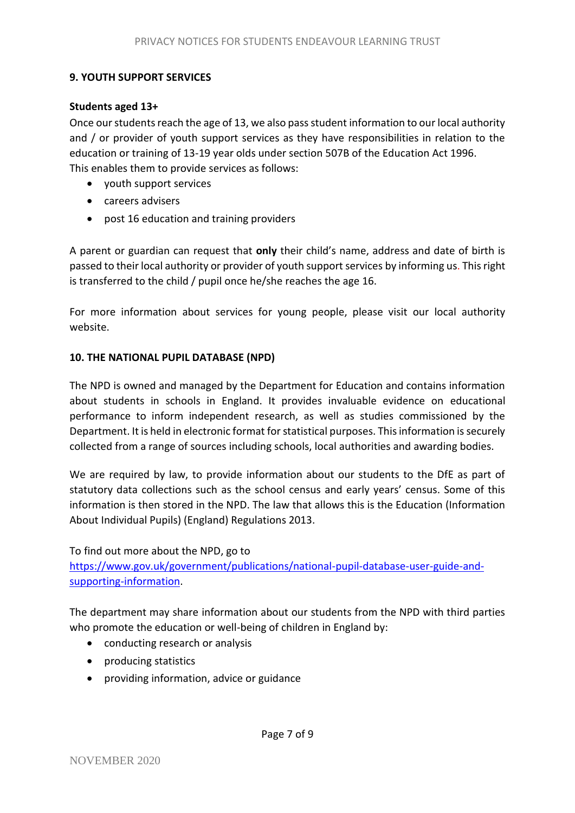## **9. YOUTH SUPPORT SERVICES**

#### **Students aged 13+**

Once our students reach the age of 13, we also pass student information to our local authority and / or provider of youth support services as they have responsibilities in relation to the education or training of 13-19 year olds under section 507B of the Education Act 1996. This enables them to provide services as follows:

- youth support services
- careers advisers
- post 16 education and training providers

A parent or guardian can request that **only** their child's name, address and date of birth is passed to their local authority or provider of youth support services by informing us. This right is transferred to the child / pupil once he/she reaches the age 16.

For more information about services for young people, please visit our local authority website.

#### **10. THE NATIONAL PUPIL DATABASE (NPD)**

The NPD is owned and managed by the Department for Education and contains information about students in schools in England. It provides invaluable evidence on educational performance to inform independent research, as well as studies commissioned by the Department. It is held in electronic format for statistical purposes. This information is securely collected from a range of sources including schools, local authorities and awarding bodies.

We are required by law, to provide information about our students to the DfE as part of statutory data collections such as the school census and early years' census. Some of this information is then stored in the NPD. The law that allows this is the Education (Information About Individual Pupils) (England) Regulations 2013.

To find out more about the NPD, go to

[https://www.gov.uk/government/publications/national-pupil-database-user-guide-and](https://www.gov.uk/government/publications/national-pupil-database-user-guide-and-supporting-information)[supporting-information.](https://www.gov.uk/government/publications/national-pupil-database-user-guide-and-supporting-information)

The department may share information about our students from the NPD with third parties who promote the education or well-being of children in England by:

- conducting research or analysis
- producing statistics
- providing information, advice or guidance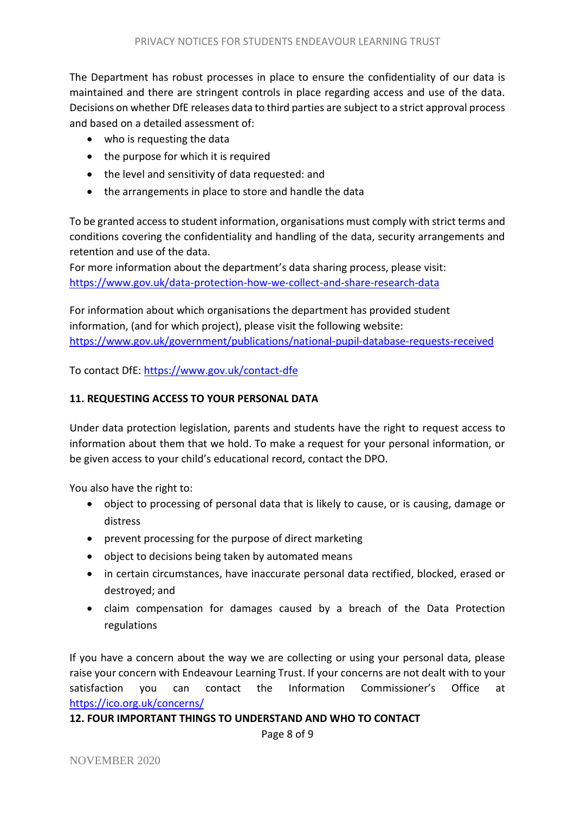The Department has robust processes in place to ensure the confidentiality of our data is maintained and there are stringent controls in place regarding access and use of the data. Decisions on whether DfE releases data to third parties are subject to a strict approval process and based on a detailed assessment of:

- who is requesting the data
- the purpose for which it is required
- the level and sensitivity of data requested: and
- the arrangements in place to store and handle the data

To be granted access to student information, organisations must comply with strict terms and conditions covering the confidentiality and handling of the data, security arrangements and retention and use of the data.

For more information about the department's data sharing process, please visit: <https://www.gov.uk/data-protection-how-we-collect-and-share-research-data>

For information about which organisations the department has provided student information, (and for which project), please visit the following website: <https://www.gov.uk/government/publications/national-pupil-database-requests-received>

To contact DfE:<https://www.gov.uk/contact-dfe>

## **11. REQUESTING ACCESS TO YOUR PERSONAL DATA**

Under data protection legislation, parents and students have the right to request access to information about them that we hold. To make a request for your personal information, or be given access to your child's educational record, contact the DPO.

You also have the right to:

- object to processing of personal data that is likely to cause, or is causing, damage or distress
- prevent processing for the purpose of direct marketing
- object to decisions being taken by automated means
- in certain circumstances, have inaccurate personal data rectified, blocked, erased or destroyed; and
- claim compensation for damages caused by a breach of the Data Protection regulations

If you have a concern about the way we are collecting or using your personal data, please raise your concern with Endeavour Learning Trust. If your concerns are not dealt with to your satisfaction you can contact the Information Commissioner's Office at <https://ico.org.uk/concerns/>

**12. FOUR IMPORTANT THINGS TO UNDERSTAND AND WHO TO CONTACT**

Page 8 of 9